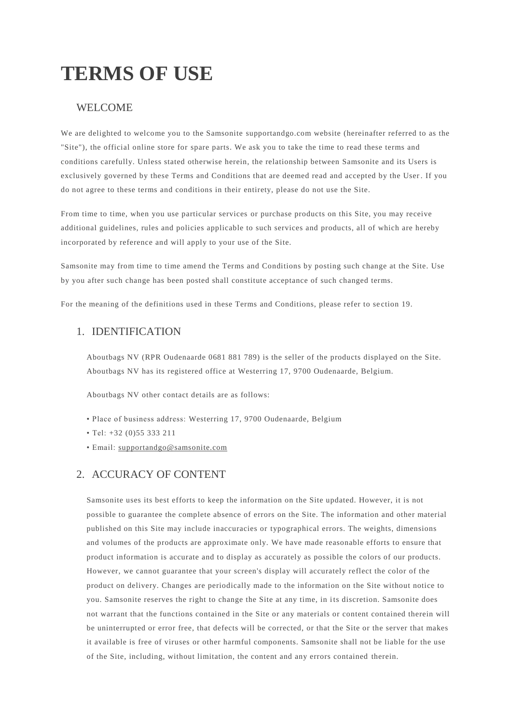# **TERMS OF USE**

# WELCOME

We are delighted to welcome you to the Samsonite supportandgo.com website (hereinafter referred to as the "Site"), the official online store for spare parts. We ask you to take the time to read these terms and conditions carefully. Unless stated otherwise herein, the relationship between Samsonite and its Users is exclusively governed by these Terms and Conditions that are deemed read and accepted by the User . If you do not agree to these terms and conditions in their entirety, please do not use the Site.

From time to time, when you use particular services or purchase products on this Site, you may receive additional guidelines, rules and policies applicable to such services and products, all of which are hereby incorporated by reference and will apply to your use of the Site.

Samsonite may from time to time amend the Terms and Conditions by posting such change at the Site. Use by you after such change has been posted shall constitute acceptance of such changed terms.

For the meaning of the definitions used in these Terms and Conditions, please refer to se ction 19.

### 1. IDENTIFICATION

Aboutbags NV (RPR Oudenaarde 0681 881 789) is the seller of the products displayed on the Site. Aboutbags NV has its registered office at Westerring 17, 9700 Oudenaarde, Belgium.

Aboutbags NV other contact details are as follows:

- Place of business address: Westerring 17, 9700 Oudenaarde, Belgium
- Tel: +32 (0)55 333 211
- Email: [supportandgo@samsonite.com](mailto:supportandgo@samsonite.com)

### 2. ACCURACY OF CONTENT

Samsonite uses its best efforts to keep the information on the Site updated. However, it is not possible to guarantee the complete absence of errors on the Site. The information and other material published on this Site may include inaccuracies or typographical errors. The weights, dimensions and volumes of the products are approximate only. We have made reasonable efforts to ensure that product information is accurate and to display as accurately as possible the colors of our products. However, we cannot guarantee that your screen's display will accurately reflect the color of the product on delivery. Changes are periodically made to the information on the Site without notice to you. Samsonite reserves the right to change the Site at any time, in i ts discretion. Samsonite does not warrant that the functions contained in the Site or any materials or content contained therein will be uninterrupted or error free, that defects will be corrected, or that the Site or the server that makes it available is free of viruses or other harmful components. Samsonite shall not be liable for the use of the Site, including, without limitation, the content and any errors contained therein.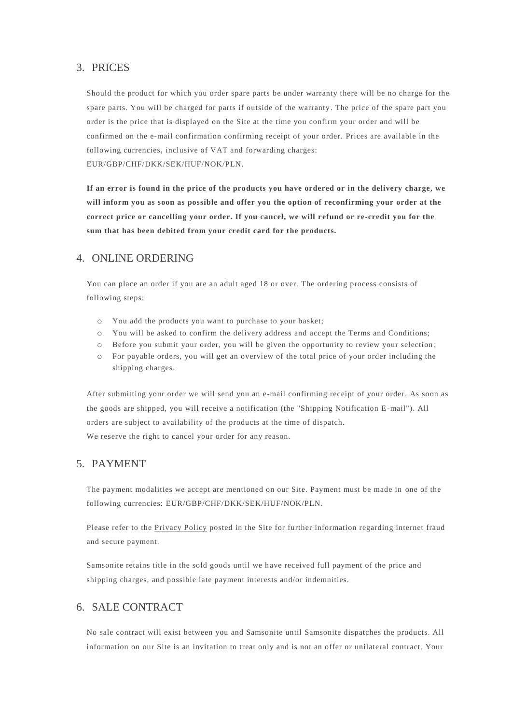### 3. PRICES

Should the product for which you order spare parts be under warranty there will be no charge for the spare parts. You will be charged for parts if outside of the warranty. The price of the spare part you order is the price that is displayed on the Site at the time you confirm your order and will be confirmed on the e-mail confirmation confirming receipt of your order. Prices are available in the following currencies, inclusive of VAT and forwarding charges: EUR/GBP/CHF/DKK/SEK/HUF/NOK/PLN.

**If an error is found in the price of the products you have ordered or in the delivery charge, we will inform you as soon as possible and offer you the option of reconfirming your order at the correct price or cancelling your order. If you cancel, we will r efund or re-credit you for the sum that has been debited from your credit card for the products.** 

### 4. ONLINE ORDERING

You can place an order if you are an adult aged 18 or over. The ordering process consists of following steps:

- o You add the products you want to purchase to your basket;
- o You will be asked to confirm the delivery address and accept the Terms and Conditions;
- o Before you submit your order, you will be given the opportunity to review your selection ;
- o For payable orders, you will get an overview of the total price of your order including the shipping charges.

After submitting your order we will send you an e-mail confirming receipt of your order. As soon as the goods are shipped, you will receive a notification (the "Shipping Notification E -mail"). All orders are subject to availability of the products at the time of dispatch. We reserve the right to cancel your order for any reason.

### 5. PAYMENT

The payment modalities we accept are mentioned on our Site. Payment must be made in one of the following currencies: EUR/GBP/CHF/DKK/SEK/HUF/NOK/PLN.

Please refer to the [Privacy Policy](https://www.supportandgo.com/Home/PrivacyPolicy) posted in the Site for further information regarding internet fraud and secure payment.

Samsonite retains title in the sold goods until we have received full payment of the price and shipping charges, and possible late payment interests and/or indemnities.

# 6. SALE CONTRACT

No sale contract will exist between you and Samsonite until Samsonite dispatches the products. All information on our Site is an invitation to treat only and is not an offer or unilateral contract. Your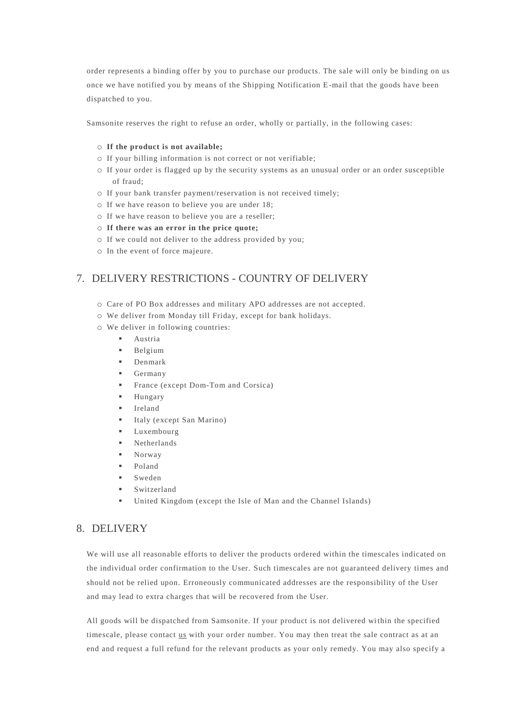order represents a binding offer by you to purchase our products. The sale will only be binding on us once we have notified you by means of the Shipping Notification E-mail that the goods have been dispatched to you.

Samsonite reserves the right to refuse an order, wholly or partially, in the following cases:

#### o **If the product is not available;**

- o If your billing information is not correct or not verifiable;
- o If your order is flagged up by the security systems as an unusual order or an order susceptible of fraud;
- o If your bank transfer payment/reservation is not received timely;
- o If we have reason to believe you are under 18;
- o If we have reason to believe you are a reseller;
- o **If there was an error in the price quote;**
- o If we could not deliver to the address provided by you;
- o In the event of force majeure.

# 7. DELIVERY RESTRICTIONS - COUNTRY OF DELIVERY

- o Care of PO Box addresses and military APO addresses are not accepted.
- o We deliver from Monday till Friday, except for bank holidays.
- o We deliver in following countries:
	- Austria
	- **Belgium**
	- **Denmark**
	- Germany
	- **•** France (except Dom-Tom and Corsica)
	- Hungary
	- Ireland
	- Italy (except San Marino)
	- Luxembourg
	- **Netherlands**
	- Norway
	- Poland
	- **Sweden**
	- Switzerland
	- United Kingdom (except the Isle of Man and the Channel Islands)

### 8. DELIVERY

We will use all reasonable efforts to deliver the products ordered within the timescales indicated on the individual order confirmation to the User. Such timescales are not guaranteed delivery times and should not be relied upon. Erroneously communicated addresses are the responsibility of the User and may lead to extra charges that will be recovered from the User.

All goods will be dispatched from Samsonite. If your product is not delivered wi thin the specified timescale, please contact [us](mailto:supportandgo@samsonite.com) with your order number. You may then treat the sale contract as at an end and request a full refund for the relevant products as your only remedy. You may also specify a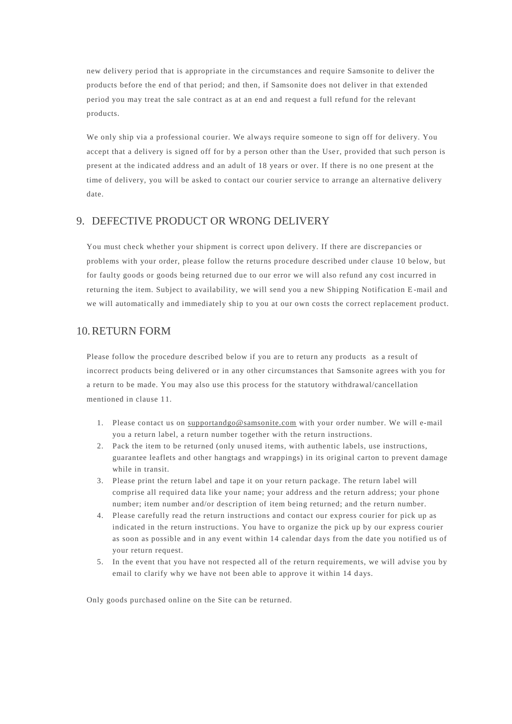new delivery period that is appropriate in the circumstances and require Samsonite to deliver the products before the end of that period; and then, if Samsonite does not deliver in that extended period you may treat the sale contract as at an end and request a full refund for the relevant products.

We only ship via a professional courier. We always require someone to sign off for delivery. You accept that a delivery is signed off for by a person other than the User, provided that such person is present at the indicated address and an adult of 18 years or over. If there is no one present at the time of delivery, you will be asked to contact our courier service to arrange an alternative delivery date.

# 9. DEFECTIVE PRODUCT OR WRONG DELIVERY

You must check whether your shipment is correct upon delivery. If there are discrepancies or problems with your order, please follow the returns procedure described under clause 10 below, but for faulty goods or goods being returned due to our error we will also refund any cost incurred in returning the item. Subject to availability, we will send you a new Shipping Notification E -mail and we will automatically and immediately ship to you at our own costs the correct replacement product.

### 10.RETURN FORM

Please follow the procedure described below if you are to return any products as a result of incorrect products being delivered or in any other circumstances that Samsonite agrees with you for a return to be made. You may also use this process for the statutory withdrawal/cancellation mentioned in clause 11.

- 1. Please contact us on [supportandgo@samsonite.com](mailto:supportandgo@samsonite.com) with your order number. We will e-mail you a return label, a return number together with the return instructions.
- 2. Pack the item to be returned (only unused items, with authentic labels, use instructions, guarantee leaflets and other hangtags and wrappings) in its original carton to prevent damage while in transit.
- 3. Please print the return label and tape it on your re turn package. The return label will comprise all required data like your name; your address and the return address; your phone number; item number and/or description of item being returned; and the return number.
- 4. Please carefully read the return instructions and contact our express courier for pick up as indicated in the return instructions. You have to organize the pick up by our express courier as soon as possible and in any event within 14 calendar days from the date you notified us of your return request.
- 5. In the event that you have not respected all of the return requirements, we will advise you by email to clarify why we have not been able to approve it within 14 days.

Only goods purchased online on the Site can be returned.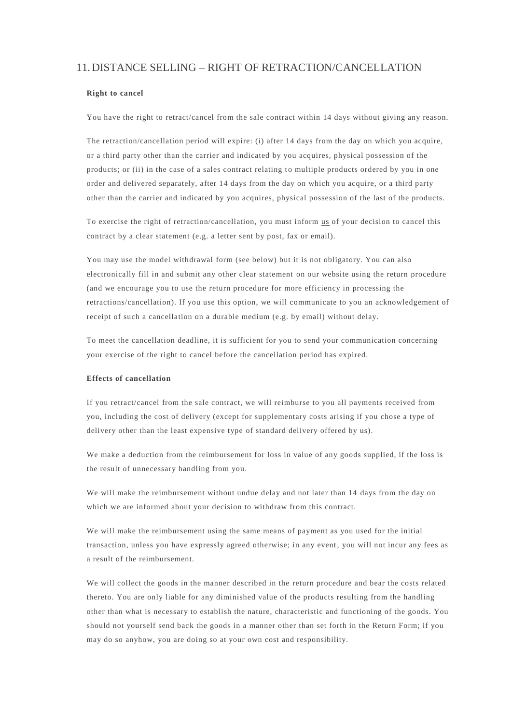# 11.DISTANCE SELLING – RIGHT OF RETRACTION/CANCELLATION

#### **Right to cancel**

You have the right to retract/cancel from the sale contract within 14 days without giving any reason.

The retraction/cancellation period will expire: (i) after 14 days from the day on which you acquire, or a third party other than the carrier and indicated by you acquires, physical possession of the products; or (ii) in the case of a sales contract relating to multiple products ordered by you in one order and delivered separately, after 14 days from the day on which you acquire, or a third party other than the carrier and indicated by you acquires, physical possession of the last of the products.

To exercise the right of retraction/cancellation, you must inform [us](mailto:supportandgo@samsonite.com) of your decision to cancel this contract by a clear statement (e.g. a letter sent by post, fax or email).

You may use the [model withdrawal](https://www.samsonite.co.uk/withdrawal-form/withdrawalform.html) form (see below) but it is not obligatory. You can also electronically fill in and submit any other clear statement on our website using the return procedure (and we encourage you to use the return procedure for more efficiency in processing the retractions/cancellation). If you use this option, we will communicate to you an acknowledgement of receipt of such a cancellation on a durable medium (e.g. by email) without delay.

To meet the cancellation deadline, it is sufficient for you to send your communication concerning your exercise of the right to cancel before the cancellation period has expired.

#### **Effects of cancellation**

If you retract/cancel from the sale contract, we will reimburse to you all payments received from you, including the cost of delivery (except for supplementary costs arising if you chose a type of delivery other than the least expensive type of standard delivery offered by us).

We make a deduction from the reimbursement for loss in value of any goods supplied, if the loss is the result of unnecessary handling from you.

We will make the reimbursement without undue delay and not later than 14 days from the day on which we are informed about your decision to withdraw from this contract.

We will make the reimbursement using the same means of payment as you used for the initial transaction, unless you have expressly agreed otherwise; in any event, you will not incur any fees as a result of the reimbursement.

We will collect the goods in the manner described in the return procedure and bear the costs related thereto. You are only liable for any diminished value of the products resulting from the handling other than what is necessary to establish the nature, characteristic and functioning of the goods. You should not yourself send back the goods in a manner other than set forth in the Return Form; if you may do so anyhow, you are doing so at your own cost and responsibility.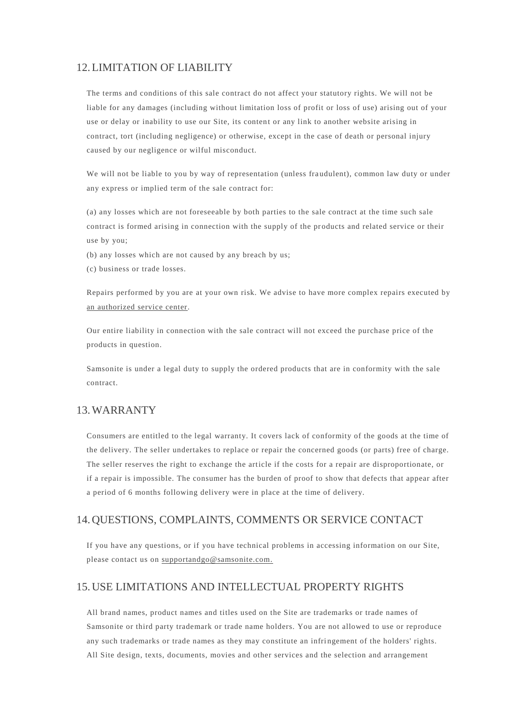### 12.LIMITATION OF LIABILITY

The terms and conditions of this sale contract do not affect your statutory rights. We will not be liable for any damages (including without limitation loss of profit or loss of use) arising out of your use or delay or inability to use our Site, its conten t or any link to another website arising in contract, tort (including negligence) or otherwise, except in the case of death or personal injury caused by our negligence or wilful misconduct.

We will not be liable to you by way of representation (unless fraudulent), common law duty or under any express or implied term of the sale contract for:

(a) any losses which are not foreseeable by both parties to the sale contract at the time such sale contract is formed arising in connection with the supply of the products and related service or their use by you;

- (b) any losses which are not caused by any breach by us;
- (c) business or trade losses.

Repairs performed by you are at your own risk. We advise to have more complex repairs executed by [an authorized service center.](http://www.supportandgo.com/ServiceInfo/ServicePointLocation)

Our entire liability in connection with the sale contract will not exceed the purchase price of the products in question.

Samsonite is under a legal duty to supply the ordered products that are in conformity with the sale contract.

### 13.WARRANTY

Consumers are entitled to the legal warranty. It covers lack of conformity of the goods at the time of the delivery. The seller undertakes to replace or repair the concerned goods (or parts) free of charge. The seller reserves the right to exchange the article if the costs for a repair are disproportionate, or if a repair is impossible. The consumer has the burden of proof to show that defects that appear after a period of 6 months following delivery were in place at the time of delivery.

### 14.QUESTIONS, COMPLAINTS, COMMENTS OR SERVICE CONTACT

If you have any questions, or if you have technical problems in accessing information on our Site, please contact us on [supportandgo@samsonite.com.](mailto:supportandgo@samsonite.com)

### 15.USE LIMITATIONS AND INTELLECTUAL PROPERTY RIGHTS

All brand names, product names and titles used on the Site are trademarks or trade names of Samsonite or third party trademark or trade name holders. You are not allowed to use or reproduce any such trademarks or trade names as they may constitute an infringement of the holders' rights. All Site design, texts, documents, movies and other services and the selection and arrangement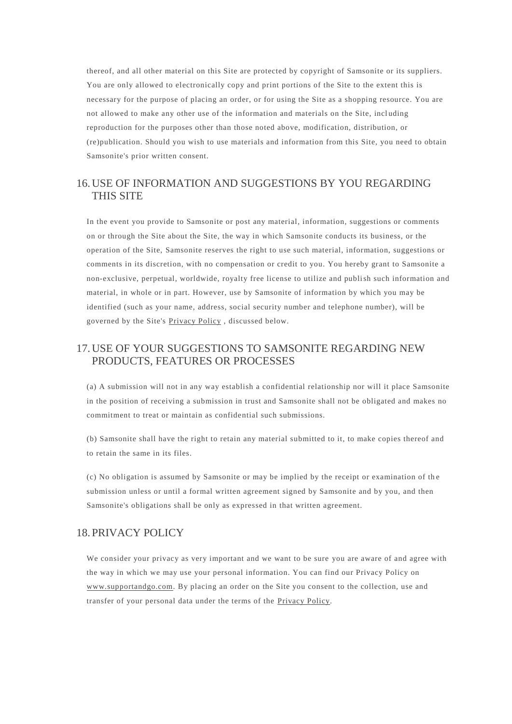thereof, and all other material on this Site are protected by copyright of Samsonite or its suppliers. You are only allowed to electronically copy and print portions of the Site to the extent this is necessary for the purpose of placing an order, or for using the Site as a shopping resource. You are not allowed to make any other use of the information and materials on the Site, incl uding reproduction for the purposes other than those noted above, modification, distribution, or (re)publication. Should you wish to use materials and information from this Site, you need to obtain Samsonite's prior written consent.

# 16.USE OF INFORMATION AND SUGGESTIONS BY YOU REGARDING THIS SITE

In the event you provide to Samsonite or post any material, information, suggestions or comments on or through the Site about the Site, the way in which Samsonite conducts its business, or the operation of the Site, Samsonite reserves the right to use such material, information, suggestions or comments in its discretion, with no compensation or credit to you. You hereby grant to Samsonite a non-exclusive, perpetual, worldwide, royalty free license to utilize and publish such information and material, in whole or in part. However, use by Samsonite of information by which you may be identified (such as your name, address, social security number and telephone number), will be governed by the Site's [Privacy Policy](https://www.supportandgo.com/Home/PrivacyPolicy) , discussed below.

# 17.USE OF YOUR SUGGESTIONS TO SAMSONITE REGARDING NEW PRODUCTS, FEATURES OR PROCESSES

(a) A submission will not in any way establish a confidential relationship nor will it place Samsonite in the position of receiving a submission in trust and Samsonite shall not be obligated and makes no commitment to treat or maintain as confidential such submissions.

(b) Samsonite shall have the right to retain any material submitted to it, to make copies thereof and to retain the same in its files.

(c) No obligation is assumed by Samsonite or may be implied by the receipt or examination of th e submission unless or until a formal written agreement signed by Samsonite and by you, and then Samsonite's obligations shall be only as expressed in that written agreement.

### 18.PRIVACY POLICY

We consider your privacy as very important and we want to be sure you are aware of and agree with the way in which we may use your personal information. You can find our Privacy Policy on [www.supportandgo.com.](https://www.supportandgo.com/) By placing an order on the Site you consent to the collection, use and transfer of your personal data under the terms of the [Privacy Policy.](https://www.supportandgo.com/Home/PrivacyPolicy)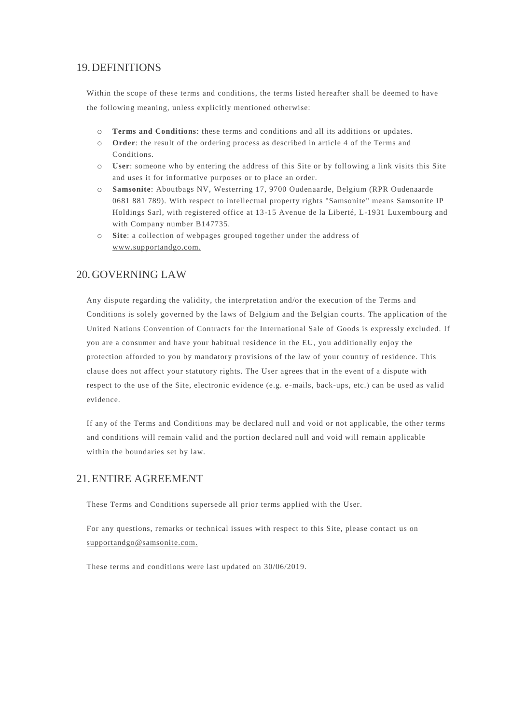### 19.DEFINITIONS

Within the scope of these terms and conditions, the terms listed hereafter shall be deemed to have the following meaning, unless explicitly mentioned otherwise:

- o **Terms and Conditions**: these terms and conditions and all its additions or updates.
- o **Order**: the result of the ordering process as described in article 4 of the Terms and Conditions.
- o **User**: someone who by entering the address of this Site or by following a link visits this Site and uses it for informative purposes or to place an order.
- o **Samsonite**: Aboutbags NV, Westerring 17, 9700 Oudenaarde, Belgium (RPR Oudenaarde 0681 881 789). With respect to intellectual property rights "Samsonite" means Samsonite IP Holdings Sarl, with registered office at 13-15 Avenue de la Liberté, L-1931 Luxembourg and with Company number B147735.
- o **Site**: a collection of webpages grouped together under the address of [www.supportandgo.com.](http://www.supportandgo.com/)

# 20.GOVERNING LAW

Any dispute regarding the validity, the interpretation and/or the execution of the Terms and Conditions is solely governed by the laws of Belgium and the Belgian courts. The application of the United Nations Convention of Contracts for the International Sale of Goods is expressly excluded. If you are a consumer and have your habitual residence in the EU, you additionally enjoy the protection afforded to you by mandatory provisions of the law of your country of residence. This clause does not affect your statutory rights. The User agrees that in the event of a dispute with respect to the use of the Site, electronic evidence (e.g. e -mails, back-ups, etc.) can be used as valid evidence.

If any of the Terms and Conditions may be declared null and void or not applicable, the other terms and conditions will remain valid and the portion declared null and void will remain applicable within the boundaries set by law.

# 21.ENTIRE AGREEMENT

These Terms and Conditions supersede all prior terms applied with the User.

For any questions, remarks or technical issues with respect to this Site, please contact us on [supportandgo@samsonite.com.](mailto:%20supportandgo@samsonite.com)

These terms and conditions were last updated on 30/06/2019.